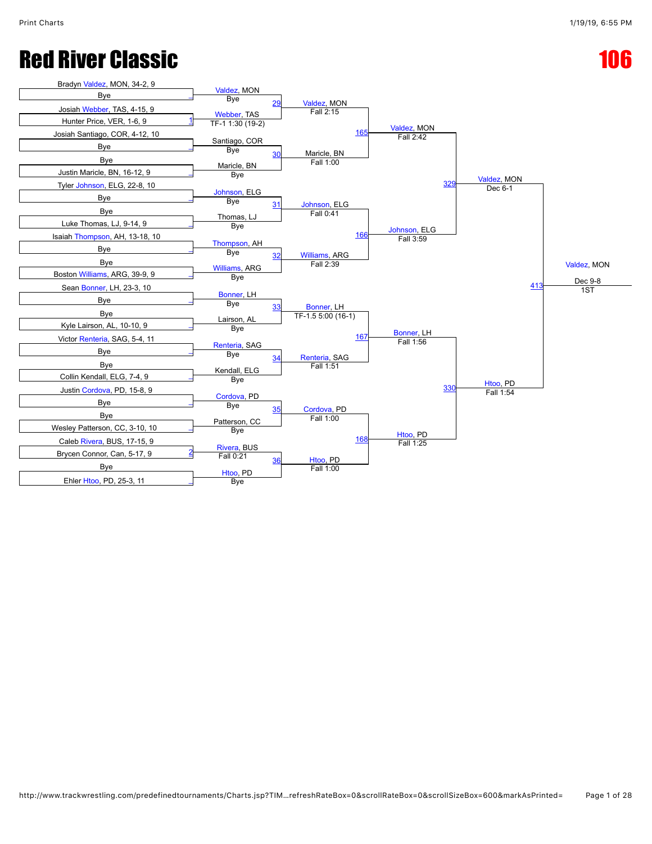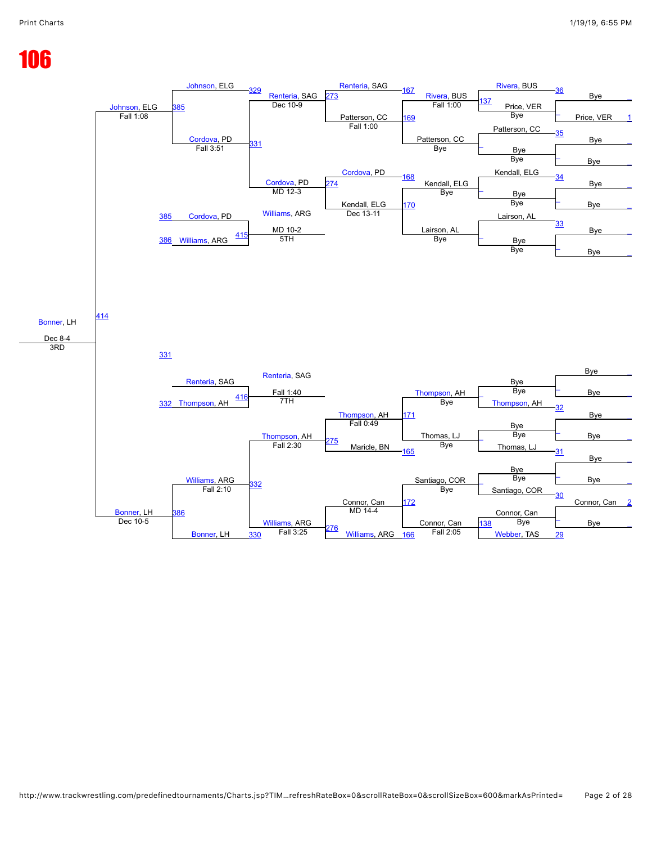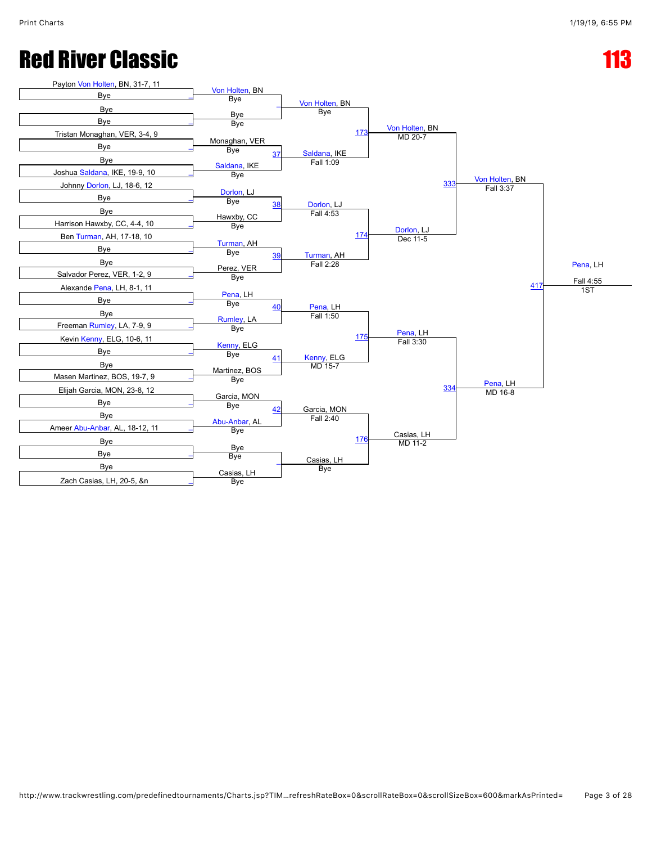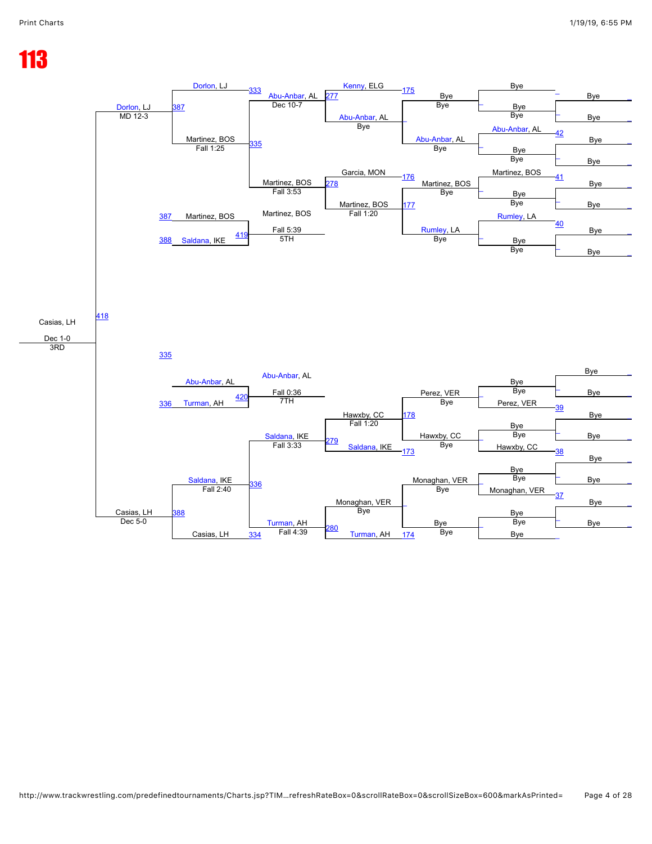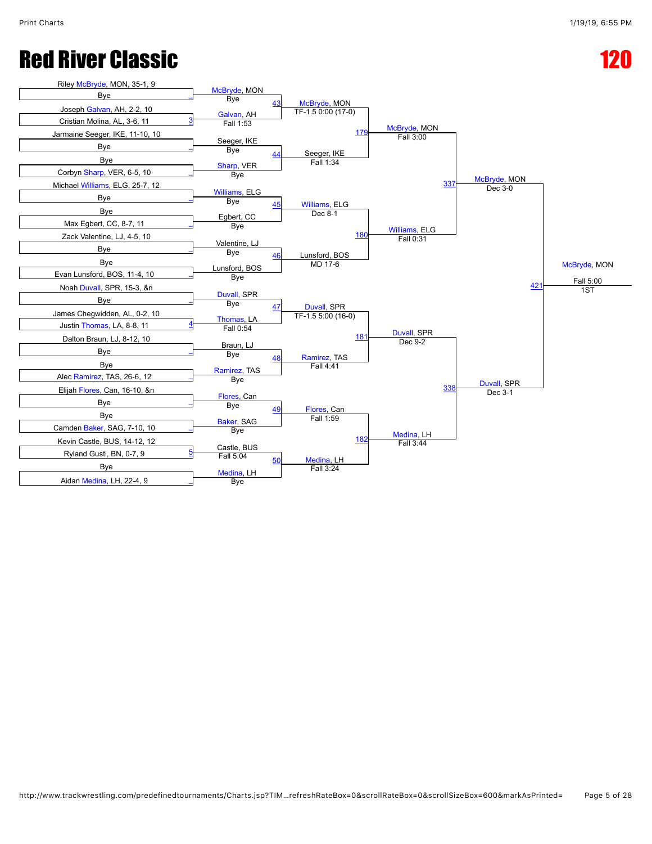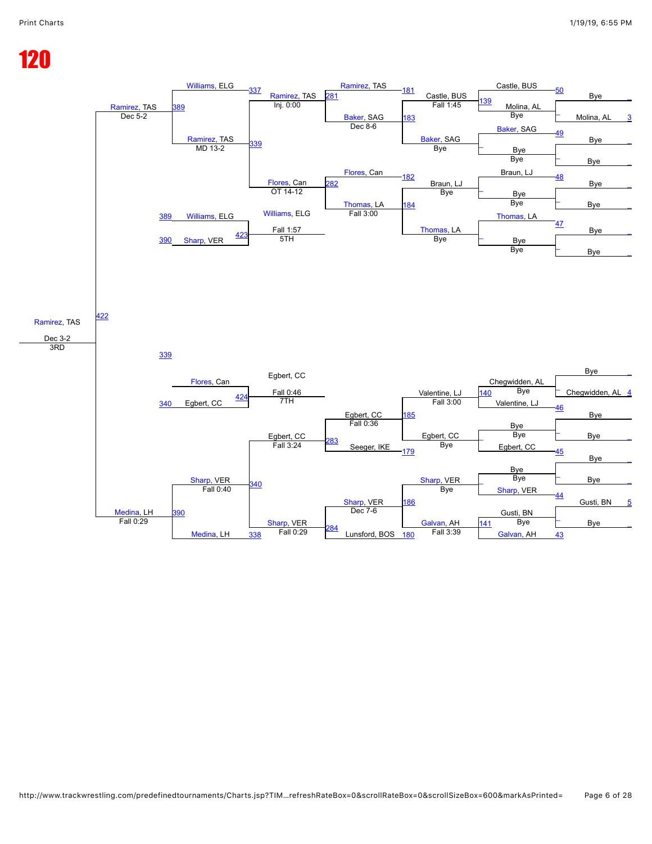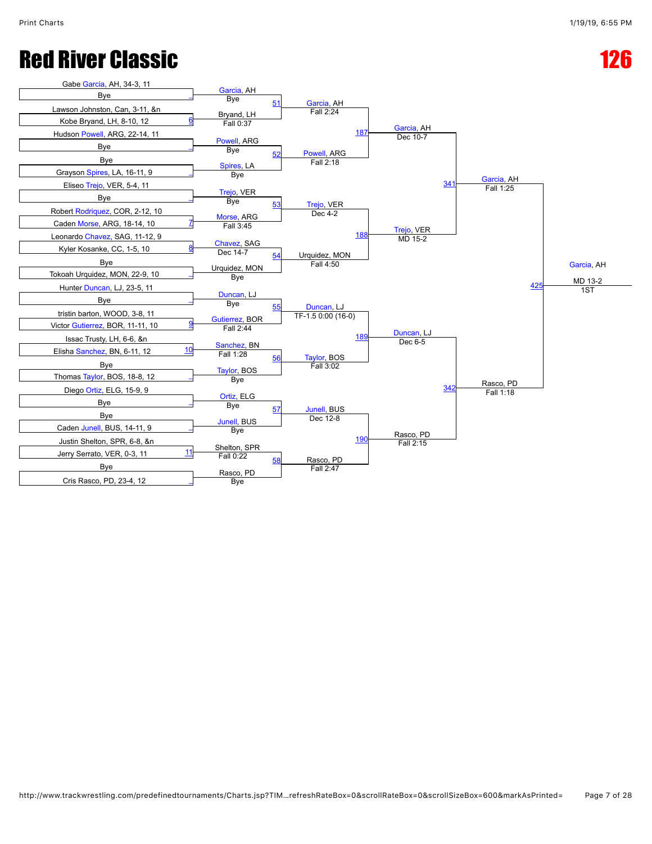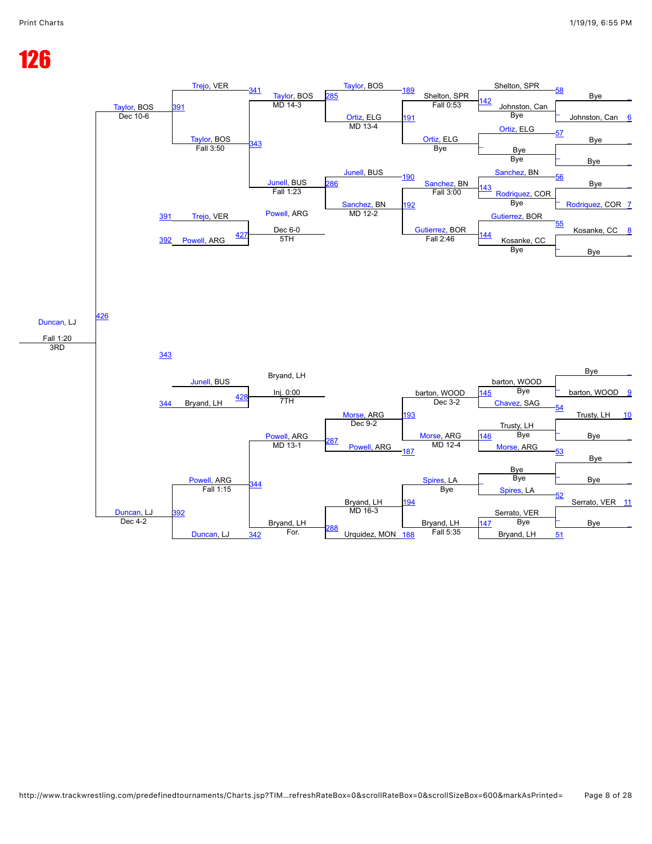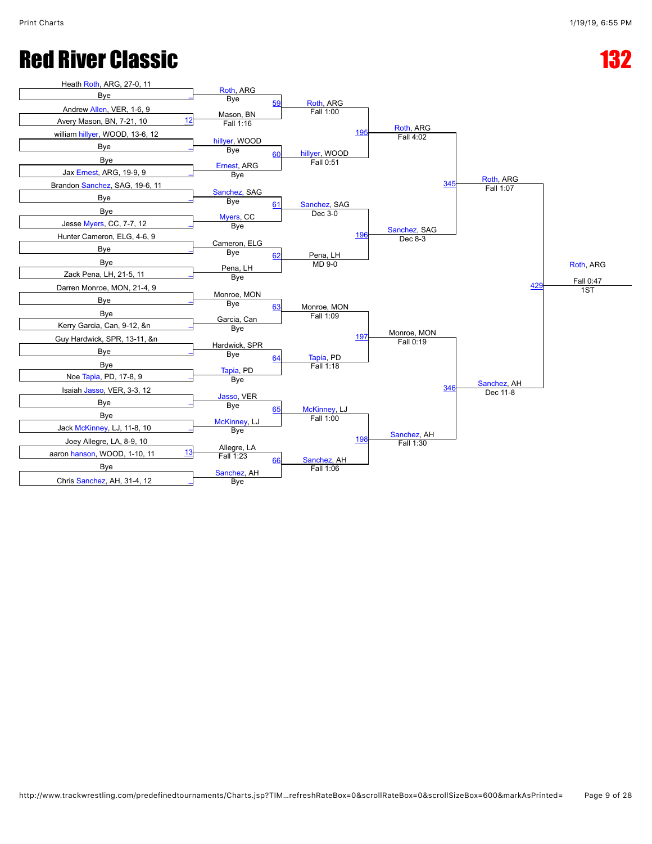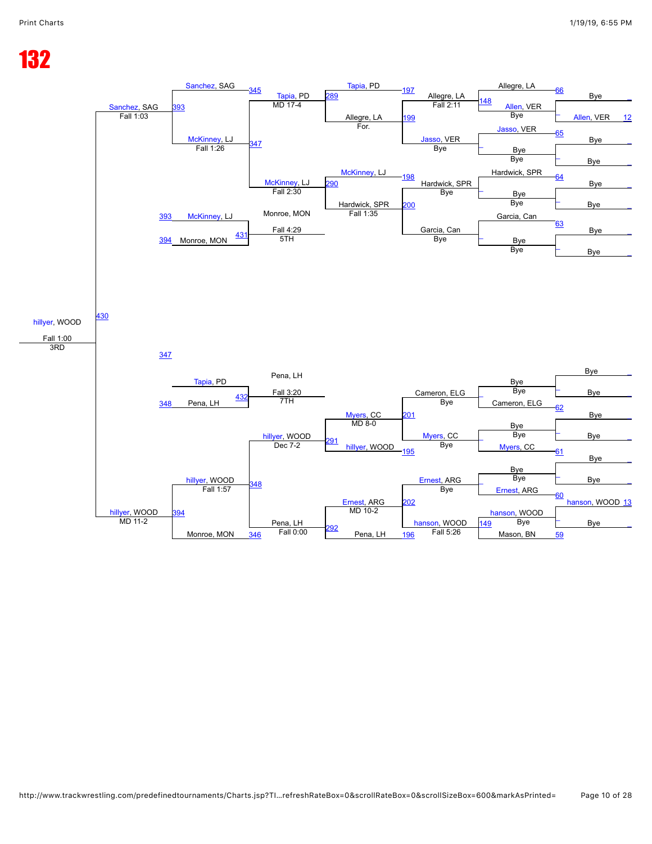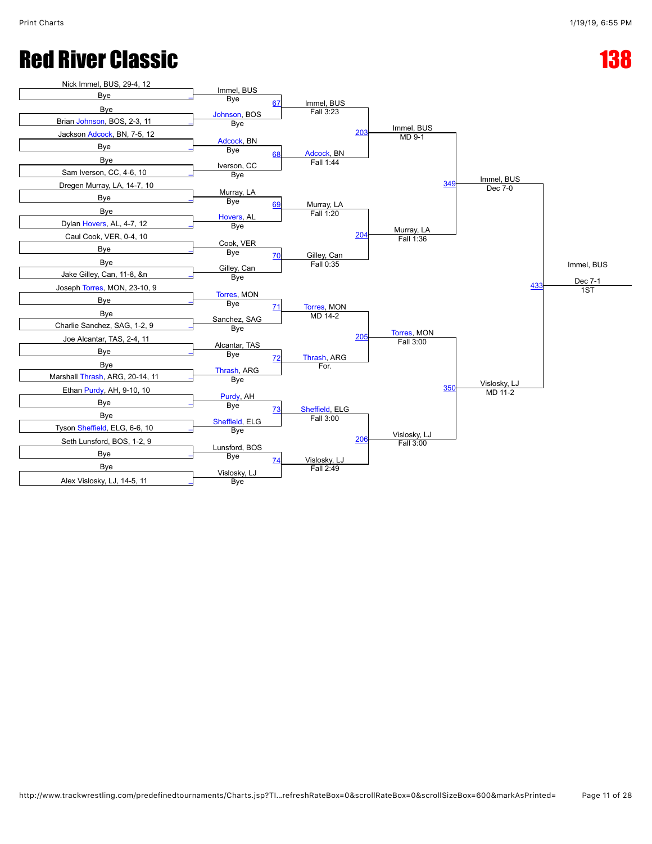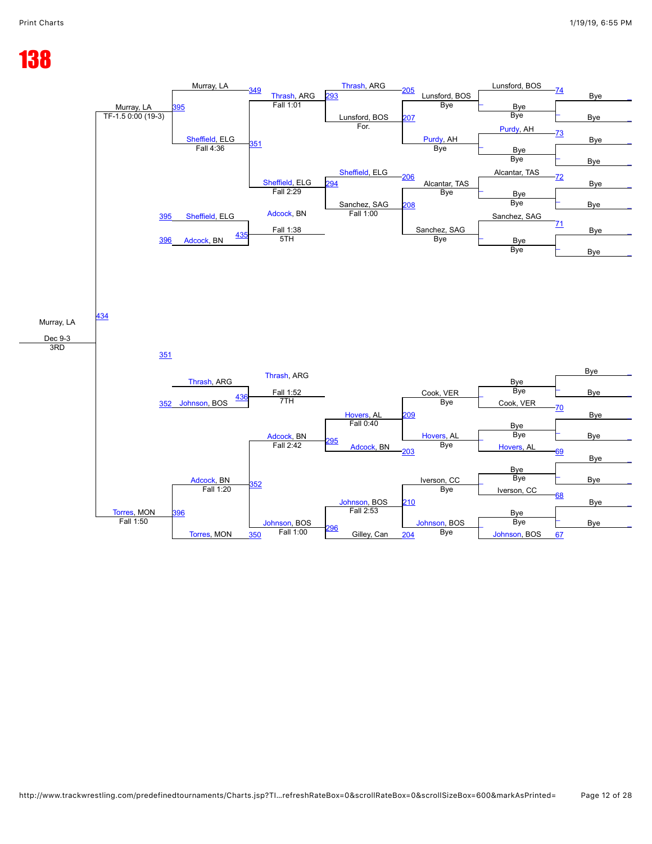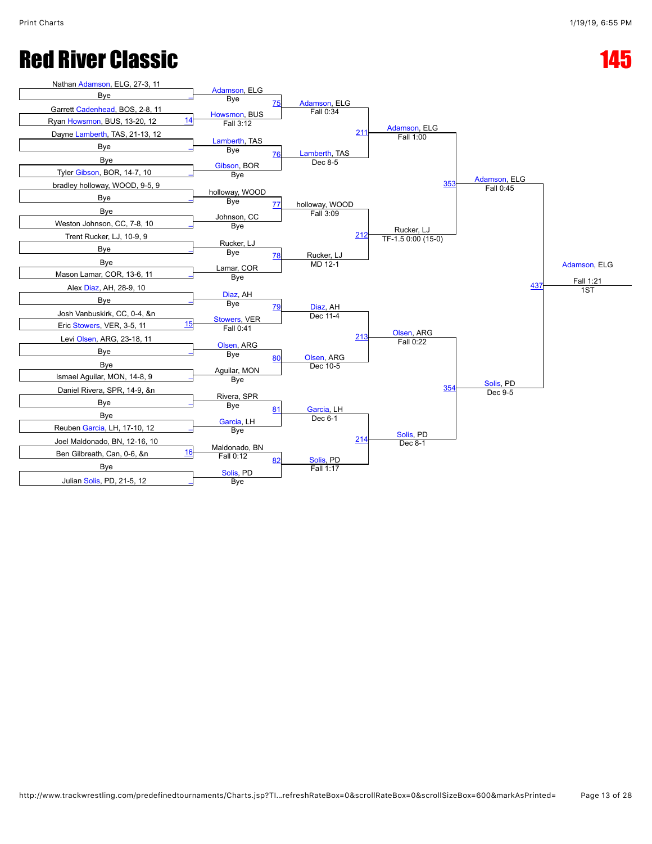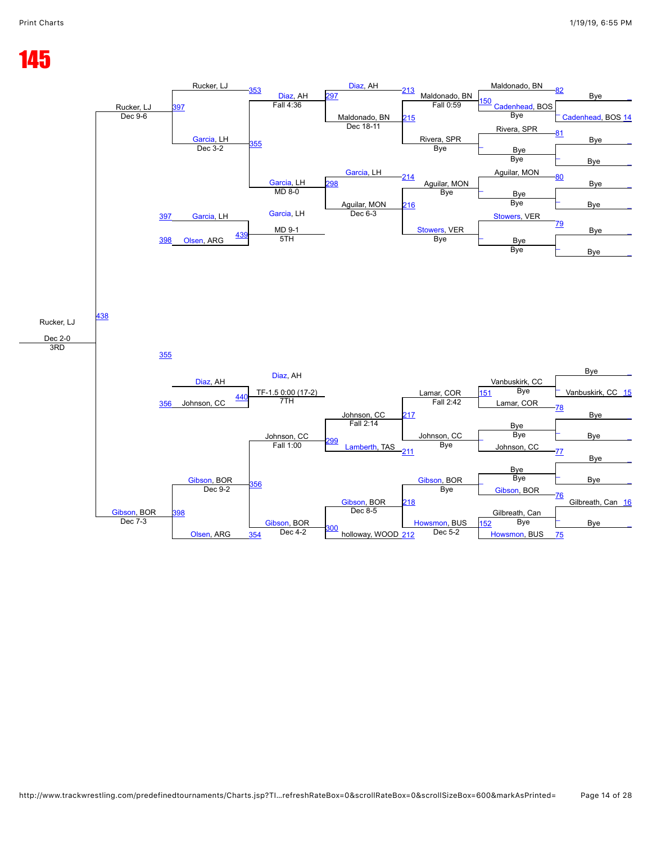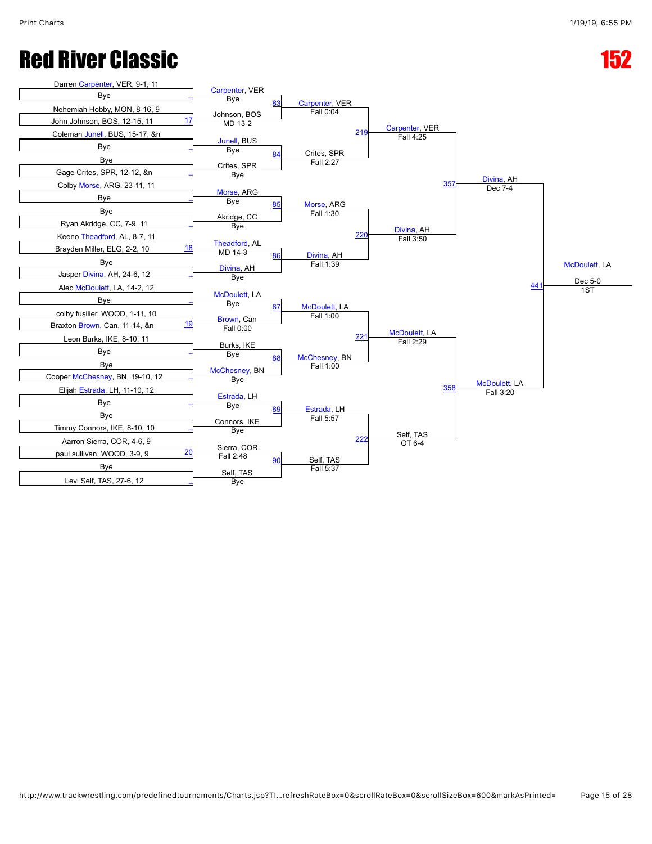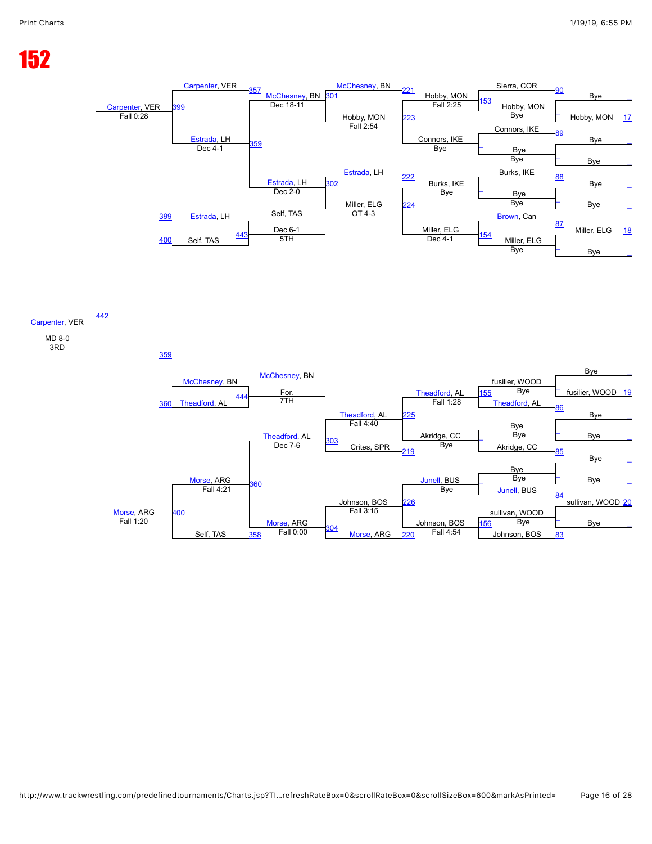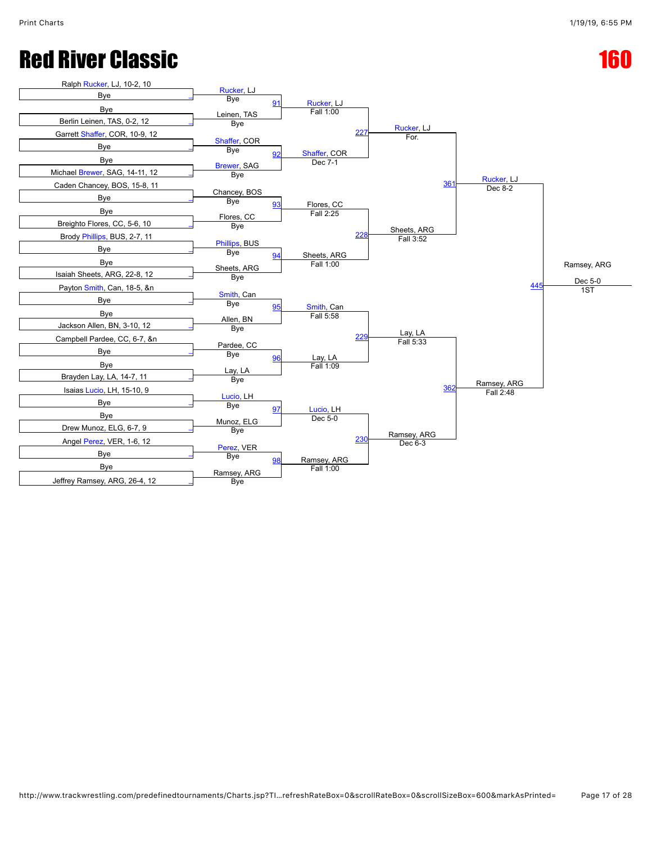## **Red River Classic 2008 Red River Classic**

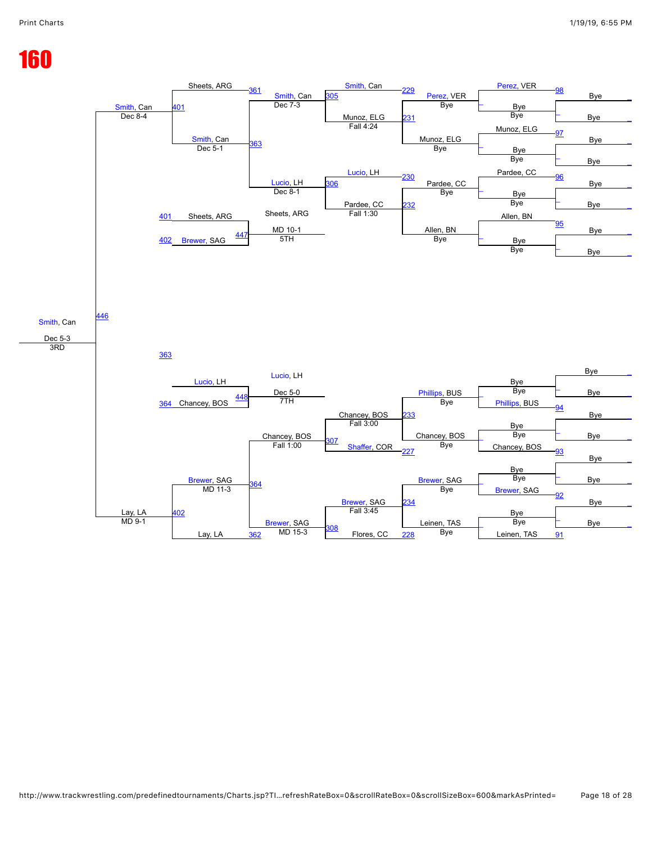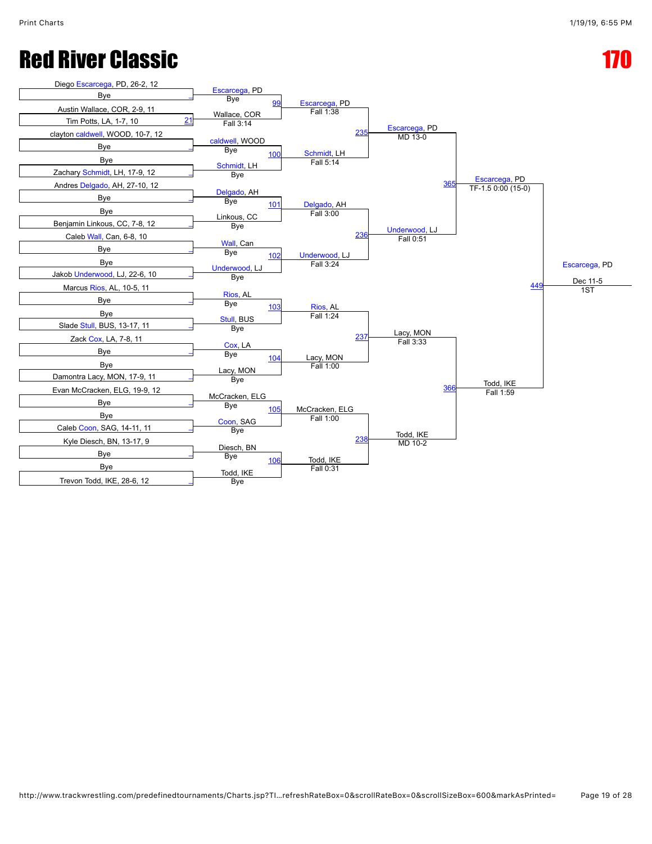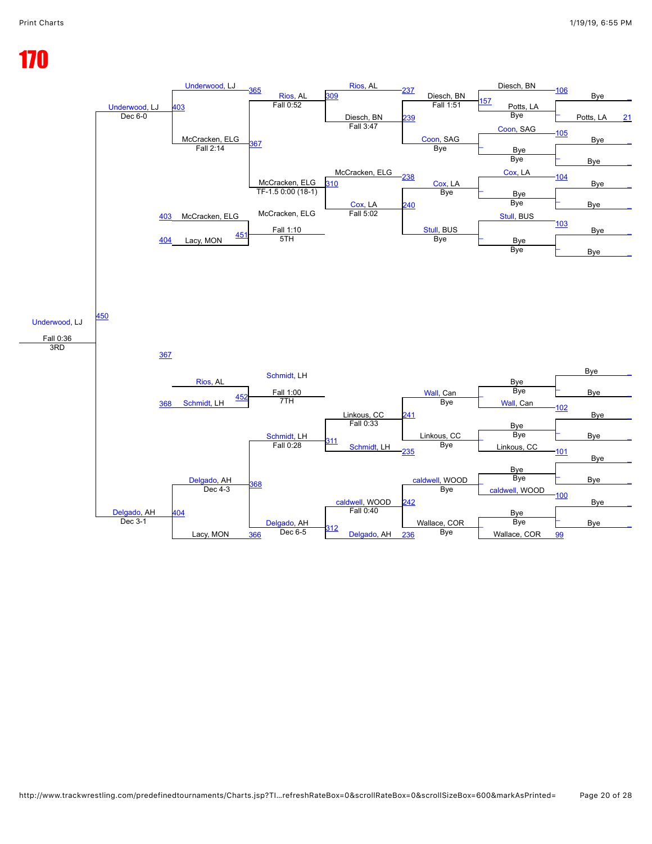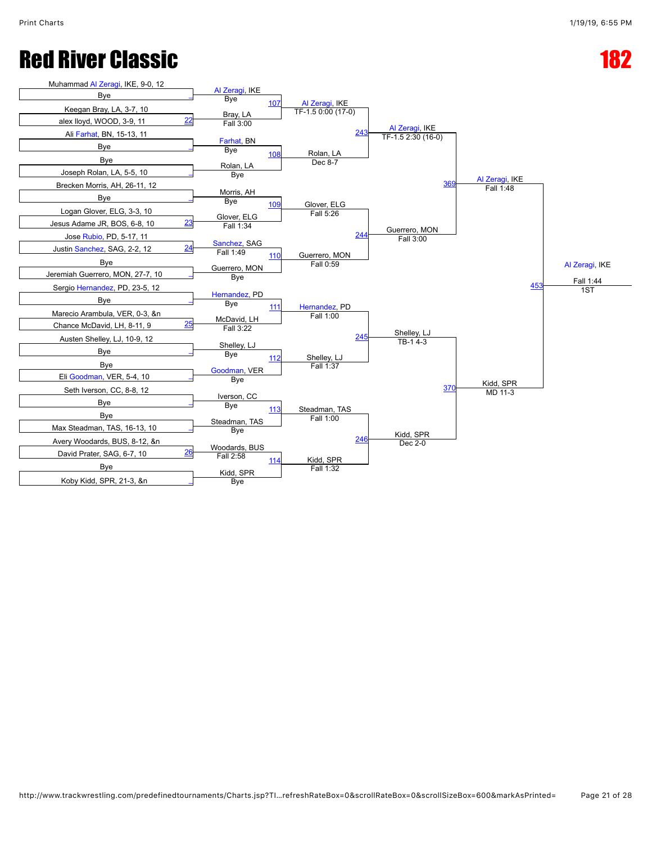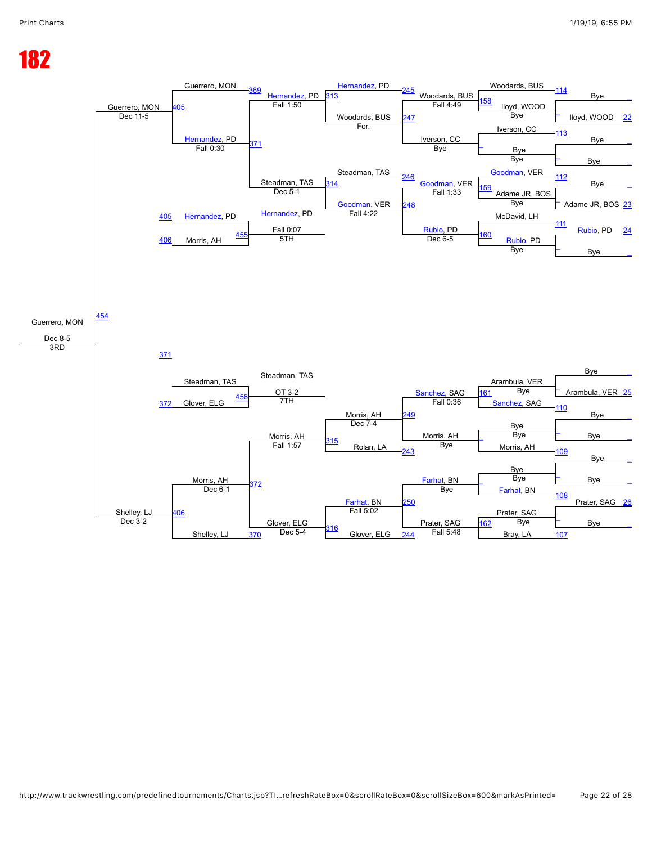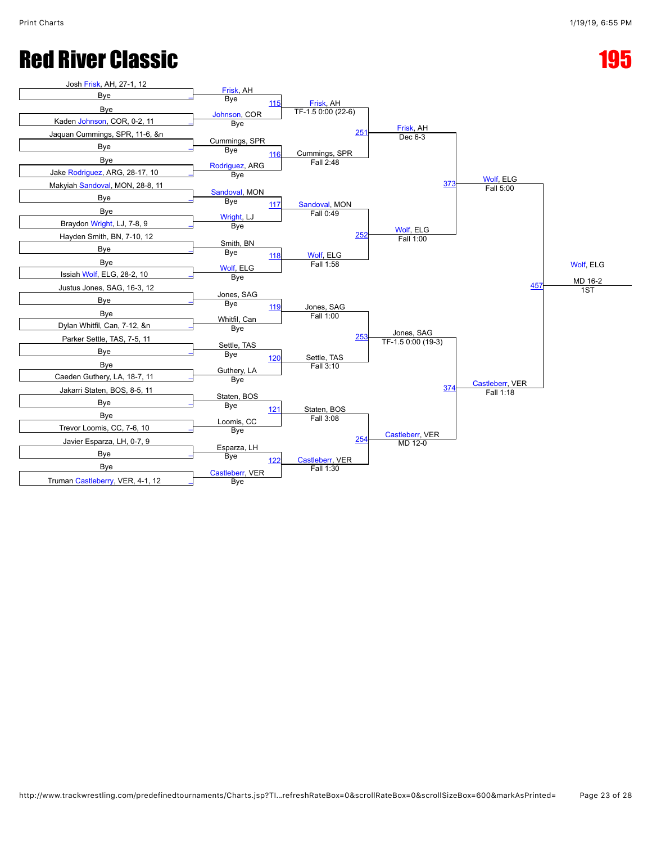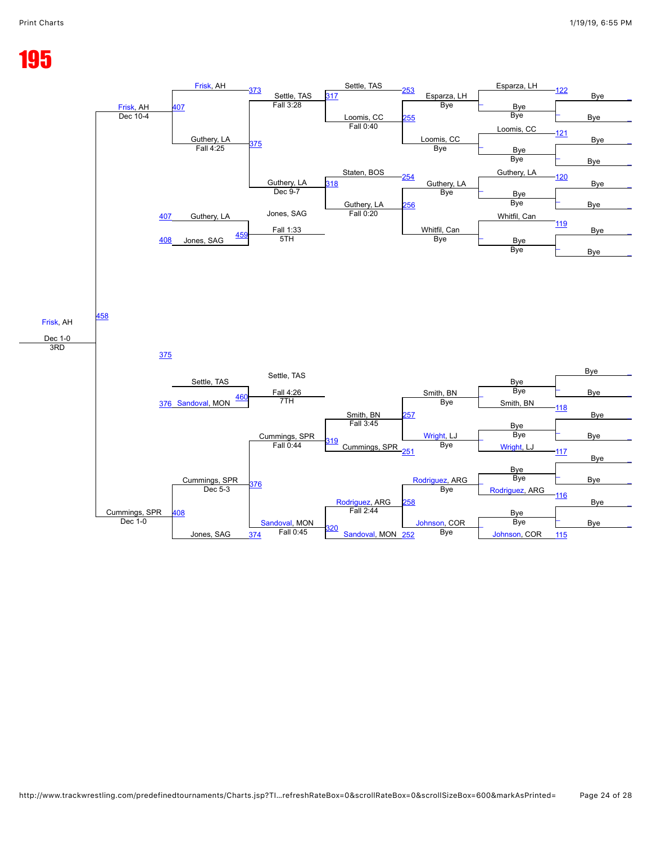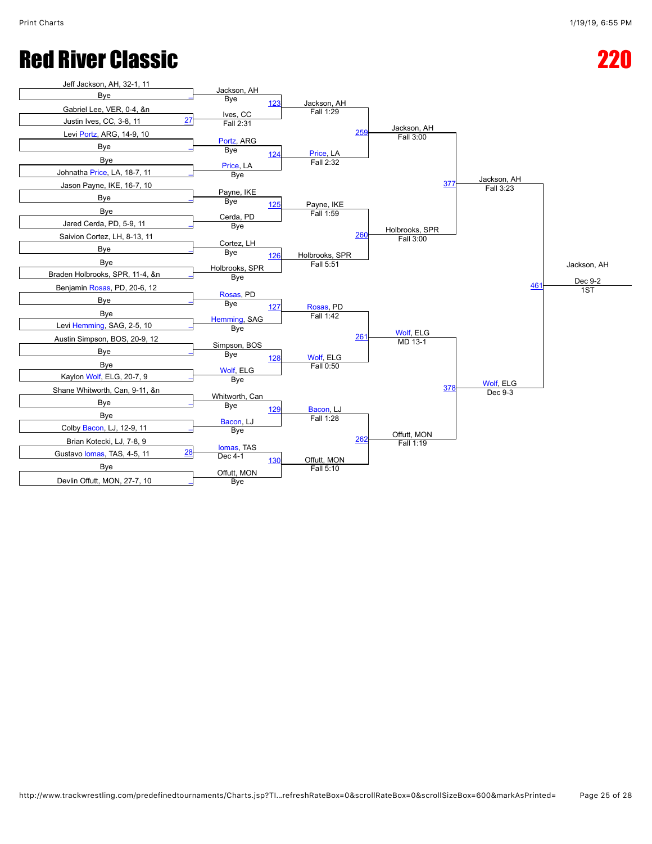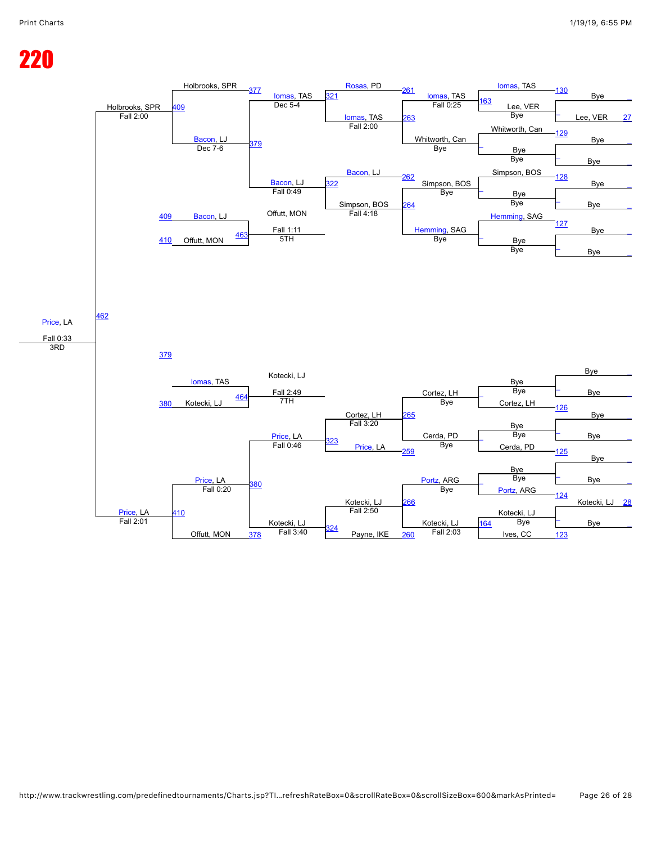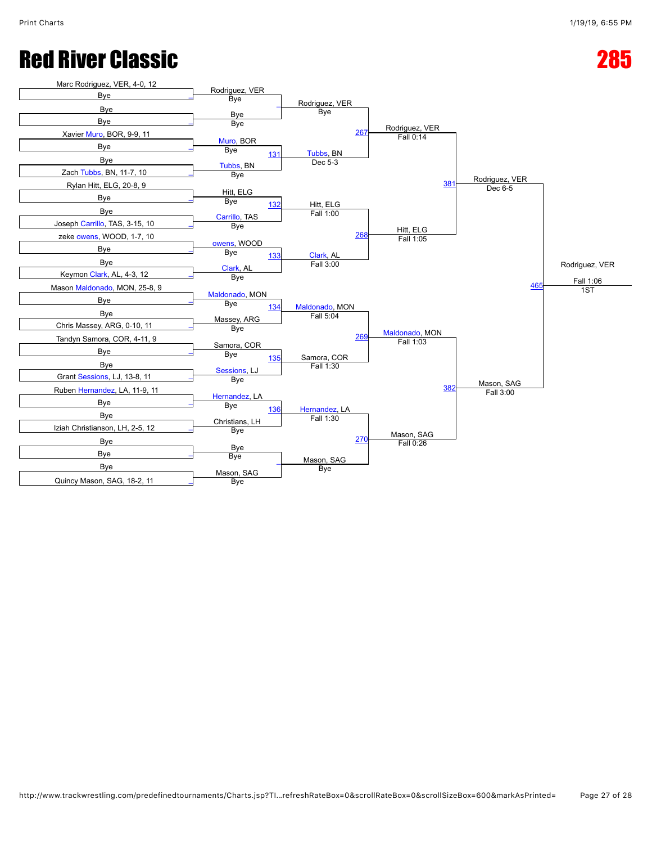